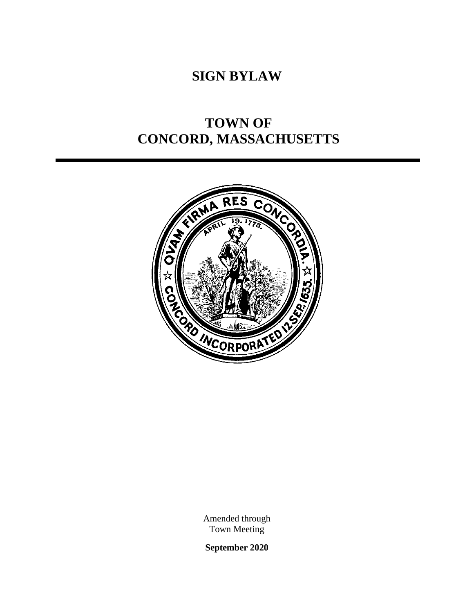# **SIGN BYLAW**

# **TOWN OF CONCORD, MASSACHUSETTS**



Amended through Town Meeting

**September 2020**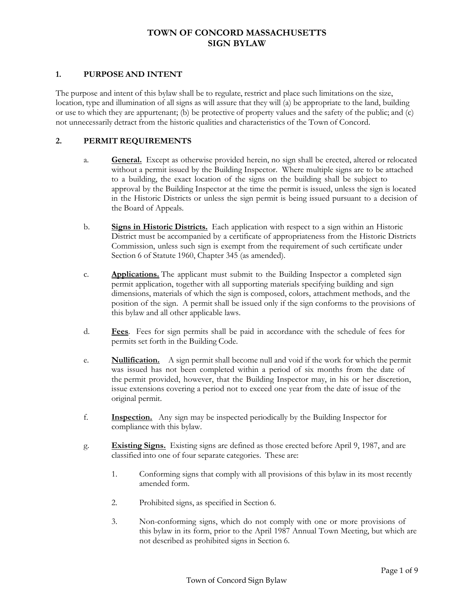# **TOWN OF CONCORD MASSACHUSETTS SIGN BYLAW**

#### **1. PURPOSE AND INTENT**

The purpose and intent of this bylaw shall be to regulate, restrict and place such limitations on the size, location, type and illumination of all signs as will assure that they will (a) be appropriate to the land, building or use to which they are appurtenant; (b) be protective of property values and the safety of the public; and (c) not unnecessarily detract from the historic qualities and characteristics of the Town of Concord.

#### **2. PERMIT REQUIREMENTS**

- a. **General.** Except as otherwise provided herein, no sign shall be erected, altered or relocated without a permit issued by the Building Inspector. Where multiple signs are to be attached to a building, the exact location of the signs on the building shall be subject to approval by the Building Inspector at the time the permit is issued, unless the sign is located in the Historic Districts or unless the sign permit is being issued pursuant to a decision of the Board of Appeals.
- b. **Signs in Historic Districts.** Each application with respect to a sign within an Historic District must be accompanied by a certificate of appropriateness from the Historic Districts Commission, unless such sign is exempt from the requirement of such certificate under Section 6 of Statute 1960, Chapter 345 (as amended).
- c. **Applications.** The applicant must submit to the Building Inspector a completed sign permit application, together with all supporting materials specifying building and sign dimensions, materials of which the sign is composed, colors, attachment methods, and the position of the sign. A permit shall be issued only if the sign conforms to the provisions of this bylaw and all other applicable laws.
- d. **Fees**. Fees for sign permits shall be paid in accordance with the schedule of fees for permits set forth in the Building Code.
- e. **Nullification.** A sign permit shall become null and void if the work for which the permit was issued has not been completed within a period of six months from the date of the permit provided, however, that the Building Inspector may, in his or her discretion, issue extensions covering a period not to exceed one year from the date of issue of the original permit.
- f. **Inspection.** Any sign may be inspected periodically by the Building Inspector for compliance with this bylaw.
- g. **Existing Signs.** Existing signs are defined as those erected before April 9, 1987, and are classified into one of four separate categories. These are:
	- 1. Conforming signs that comply with all provisions of this bylaw in its most recently amended form.
	- 2. Prohibited signs, as specified in Section 6.
	- 3. Non-conforming signs, which do not comply with one or more provisions of this bylaw in its form, prior to the April 1987 Annual Town Meeting, but which are not described as prohibited signs in Section 6.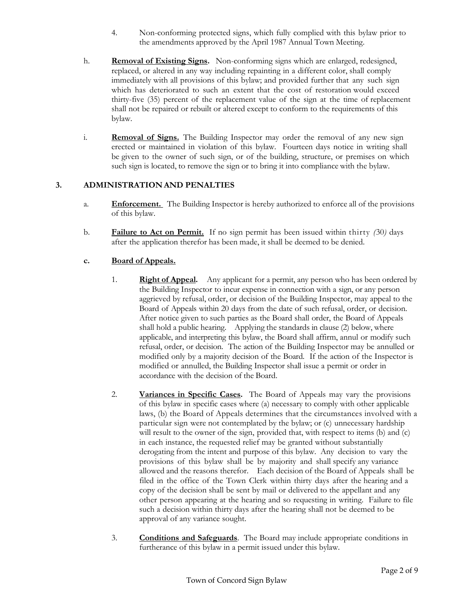- 4. Non-conforming protected signs, which fully complied with this bylaw prior to the amendments approved by the April 1987 Annual Town Meeting.
- h. **Removal of Existing Signs.** Non-conforming signs which are enlarged, redesigned, replaced, or altered in any way including repainting in a different color, shall comply immediately with all provisions of this bylaw; and provided further that any such sign which has deteriorated to such an extent that the cost of restoration would exceed thirty-five (35) percent of the replacement value of the sign at the time of replacement shall not be repaired or rebuilt or altered except to conform to the requirements of this bylaw.
- i. **Removal of Signs.** The Building Inspector may order the removal of any new sign erected or maintained in violation of this bylaw. Fourteen days notice in writing shall be given to the owner of such sign, or of the building, structure, or premises on which such sign is located, to remove the sign or to bring it into compliance with the bylaw.

# **3. ADMINISTRATION AND PENALTIES**

- a. **Enforcement.** The Building Inspector is hereby authorized to enforce all of the provisions of this bylaw.
- b. **Failure to Act on Permit.** If no sign permit has been issued within thirty *(*30*)* days after the application therefor has been made, it shall be deemed to be denied.

#### **c. Board of Appeals.**

- 1. **Right of Appeal.** Any applicant for a permit, any person who has been ordered by the Building Inspector to incur expense in connection with a sign, or any person aggrieved by refusal, order, or decision of the Building Inspector, may appeal to the Board of Appeals within 20 days from the date of such refusal, order, or decision. After notice given to such parties as the Board shall order, the Board of Appeals shall hold a public hearing. Applying the standards in clause (2) below, where applicable, and interpreting this bylaw, the Board shall affirm, annul or modify such refusal, order, or decision. The action of the Building Inspector may be annulled or modified only by a majority decision of the Board. If the action of the Inspector is modified or annulled, the Building Inspector shall issue a permit or order in accordance with the decision of the Board.
- 2. **Variances in Specific Cases.** The Board of Appeals may vary the provisions of this bylaw in specific cases where (a) necessary to comply with other applicable laws, (b) the Board of Appeals determines that the circumstances involved with a particular sign were not contemplated by the bylaw; or (c) unnecessary hardship will result to the owner of the sign, provided that, with respect to items (b) and (c) in each instance, the requested relief may be granted without substantially derogating from the intent and purpose of this bylaw. Any decision to vary the provisions of this bylaw shall be by majority and shall specify any variance allowed and the reasons therefor. Each decision of the Board of Appeals shall be filed in the office of the Town Clerk within thirty days after the hearing and a copy of the decision shall be sent by mail or delivered to the appellant and any other person appearing at the hearing and so requesting in writing. Failure to file such a decision within thirty days after the hearing shall not be deemed to be approval of any variance sought.
- 3. **Conditions and Safeguards**. The Board may include appropriate conditions in furtherance of this bylaw in a permit issued under this bylaw.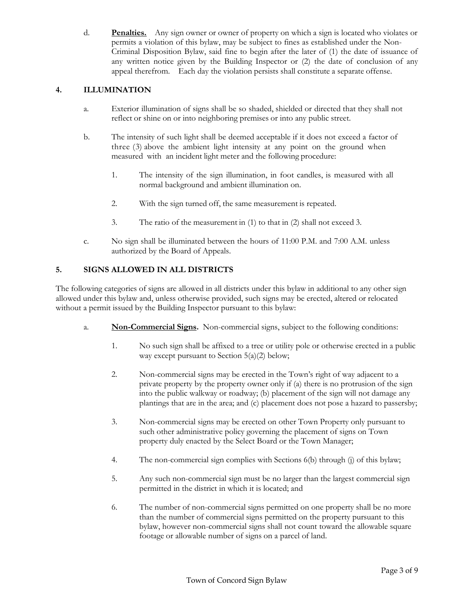d. **Penalties.** Any sign owner or owner of property on which a sign is located who violates or permits a violation of this bylaw, may be subject to fines as established under the Non-Criminal Disposition Bylaw, said fine to begin after the later of (1) the date of issuance of any written notice given by the Building Inspector or (2) the date of conclusion of any appeal therefrom. Each day the violation persists shall constitute a separate offense.

# **4. ILLUMINATION**

- a. Exterior illumination of signs shall be so shaded, shielded or directed that they shall not reflect or shine on or into neighboring premises or into any public street.
- b. The intensity of such light shall be deemed acceptable if it does not exceed a factor of three (3) above the ambient light intensity at any point on the ground when measured with an incident light meter and the following procedure:
	- 1. The intensity of the sign illumination, in foot candles, is measured with all normal background and ambient illumination on.
	- 2. With the sign turned off, the same measurement is repeated.
	- 3. The ratio of the measurement in (1) to that in (2) shall not exceed 3.
- c. No sign shall be illuminated between the hours of 11:00 P.M. and 7:00 A.M. unless authorized by the Board of Appeals.

# **5. SIGNS ALLOWED IN ALL DISTRICTS**

The following categories of signs are allowed in all districts under this bylaw in additional to any other sign allowed under this bylaw and, unless otherwise provided, such signs may be erected, altered or relocated without a permit issued by the Building Inspector pursuant to this bylaw:

- a. **Non-Commercial Signs.** Non-commercial signs, subject to the following conditions:
	- 1. No such sign shall be affixed to a tree or utility pole or otherwise erected in a public way except pursuant to Section 5(a)(2) below;
	- 2. Non-commercial signs may be erected in the Town's right of way adjacent to a private property by the property owner only if (a) there is no protrusion of the sign into the public walkway or roadway; (b) placement of the sign will not damage any plantings that are in the area; and (c) placement does not pose a hazard to passersby;
	- 3. Non-commercial signs may be erected on other Town Property only pursuant to such other administrative policy governing the placement of signs on Town property duly enacted by the Select Board or the Town Manager;
	- 4. The non-commercial sign complies with Sections 6(b) through (j) of this bylaw;
	- 5. Any such non-commercial sign must be no larger than the largest commercial sign permitted in the district in which it is located; and
	- 6. The number of non-commercial signs permitted on one property shall be no more than the number of commercial signs permitted on the property pursuant to this bylaw, however non-commercial signs shall not count toward the allowable square footage or allowable number of signs on a parcel of land.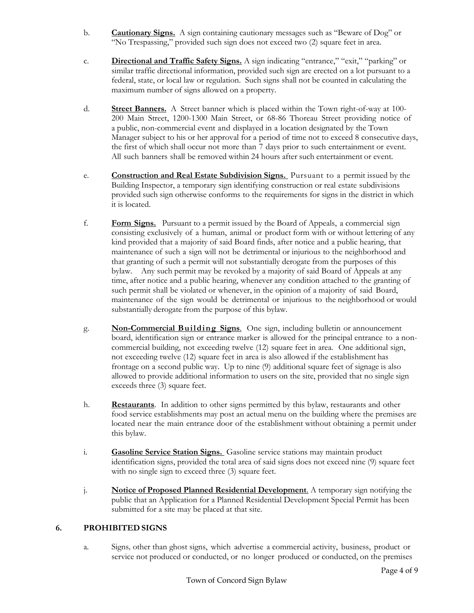- b. **Cautionary Signs.** A sign containing cautionary messages such as "Beware of Dog" or "No Trespassing," provided such sign does not exceed two (2) square feet in area.
- c. **Directional and Traffic Safety Signs.** A sign indicating "entrance," "exit," "parking" or similar traffic directional information, provided such sign are erected on a lot pursuant to a federal, state, or local law or regulation. Such signs shall not be counted in calculating the maximum number of signs allowed on a property.
- d. **Street Banners.** A Street banner which is placed within the Town right-of-way at 100- 200 Main Street, 1200-1300 Main Street, or 68-86 Thoreau Street providing notice of a public, non-commercial event and displayed in a location designated by the Town Manager subject to his or her approval for a period of time not to exceed 8 consecutive days, the first of which shall occur not more than 7 days prior to such entertainment or event. All such banners shall be removed within 24 hours after such entertainment or event.
- e. **Construction and Real Estate Subdivision Signs.** Pursuant to a permit issued by the Building Inspector, a temporary sign identifying construction or real estate subdivisions provided such sign otherwise conforms to the requirements for signs in the district in which it is located.
- f. **Form Signs.** Pursuant to a permit issued by the Board of Appeals, a commercial sign consisting exclusively of a human, animal or product form with or without lettering of any kind provided that a majority of said Board finds, after notice and a public hearing, that maintenance of such a sign will not be detrimental or injurious to the neighborhood and that granting of such a permit will not substantially derogate from the purposes of this bylaw. Any such permit may be revoked by a majority of said Board of Appeals at any time, after notice and a public hearing, whenever any condition attached to the granting of such permit shall be violated or whenever, in the opinion of a majority of said Board, maintenance of the sign would be detrimental or injurious to the neighborhood or would substantially derogate from the purpose of this bylaw.
- g. **Non-Commercial Building Signs**. One sign, including bulletin or announcement board, identification sign or entrance marker is allowed for the principal entrance to a noncommercial building, not exceeding twelve (12) square feet in area. One additional sign, not exceeding twelve (12) square feet in area is also allowed if the establishment has frontage on a second public way. Up to nine (9) additional square feet of signage is also allowed to provide additional information to users on the site, provided that no single sign exceeds three (3) square feet.
- h. **Restaurants**. In addition to other signs permitted by this bylaw, restaurants and other food service establishments may post an actual menu on the building where the premises are located near the main entrance door of the establishment without obtaining a permit under this bylaw.
- i. **Gasoline Service Station Signs.** Gasoline service stations may maintain product identification signs, provided the total area of said signs does not exceed nine (9) square feet with no single sign to exceed three (3) square feet.
- j. **Notice of Proposed Planned Residential Development**. A temporary sign notifying the public that an Application for a Planned Residential Development Special Permit has been submitted for a site may be placed at that site.

# **6. PROHIBITED SIGNS**

a. Signs*,* other than ghost signs, which advertise a commercial activity, business, product or service not produced or conducted, or no longer produced or conducted, on the premises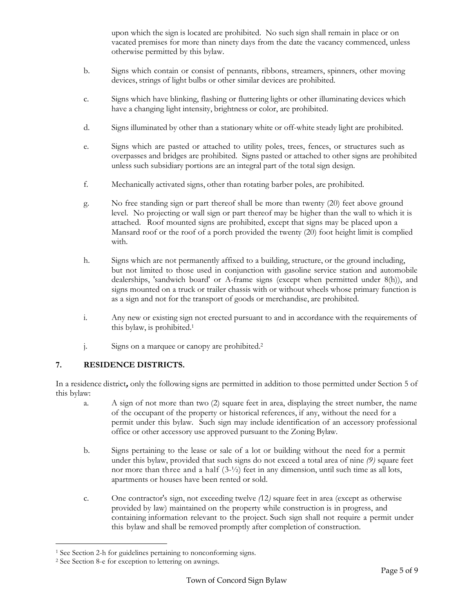upon which the sign is located are prohibited. No such sign shall remain in place or on vacated premises for more than ninety days from the date the vacancy commenced, unless otherwise permitted by this bylaw.

- b. Signs which contain or consist of pennants, ribbons, streamers, spinners, other moving devices, strings of light bulbs or other similar devices are prohibited.
- c. Signs which have blinking, flashing or fluttering lights or other illuminating devices which have a changing light intensity, brightness or color, are prohibited.
- d. Signs illuminated by other than a stationary white or off-white steady light are prohibited.
- e. Signs which are pasted or attached to utility poles, trees, fences, or structures such as overpasses and bridges are prohibited. Signs pasted or attached to other signs are prohibited unless such subsidiary portions are an integral part of the total sign design.
- f. Mechanically activated signs, other than rotating barber poles, are prohibited.
- g. No free standing sign or part thereof shall be more than twenty (20) feet above ground level. No projecting or wall sign or part thereof may be higher than the wall to which it is attached. Roof mounted signs are prohibited, except that signs may be placed upon a Mansard roof or the roof of a porch provided the twenty (20) foot height limit is complied with.
- h. Signs which are not permanently affixed to a building, structure, or the ground including, but not limited to those used in conjunction with gasoline service station and automobile dealerships, 'sandwich board' or A-frame signs (except when permitted under 8(h)), and signs mounted on a truck or trailer chassis with or without wheels whose primary function is as a sign and not for the transport of goods or merchandise, are prohibited.
- i. Any new or existing sign not erected pursuant to and in accordance with the requirements of this bylaw, is prohibited.<sup>1</sup>
- j. Signs on a marquee or canopy are prohibited.<sup>2</sup>

# **7. RESIDENCE DISTRICTS.**

In a residence district**,** only the following signs are permitted in addition to those permitted under Section 5 of this bylaw:

- a. A sign of not more than two (2) square feet in area, displaying the street number, the name of the occupant of the property or historical references, if any, without the need for a permit under this bylaw. Such sign may include identification of an accessory professional office or other accessory use approved pursuant to the Zoning Bylaw.
- b. Signs pertaining to the lease or sale of a lot or building without the need for a permit under this bylaw, provided that such signs do not exceed a total area of nine *(9)* square feet nor more than three and a half (3-½) feet in any dimension, until such time as all lots, apartments or houses have been rented or sold.
- c. One contractor's sign, not exceeding twelve *(*12*)* square feet in area (except as otherwise provided by law) maintained on the property while construction is in progress, and containing information relevant to the project. Such sign shall not require a permit under this bylaw and shall be removed promptly after completion of construction.

<sup>1</sup> See Section 2-h for guidelines pertaining to nonconforming signs.

<sup>2</sup> See Section 8-e for exception to lettering on awnings.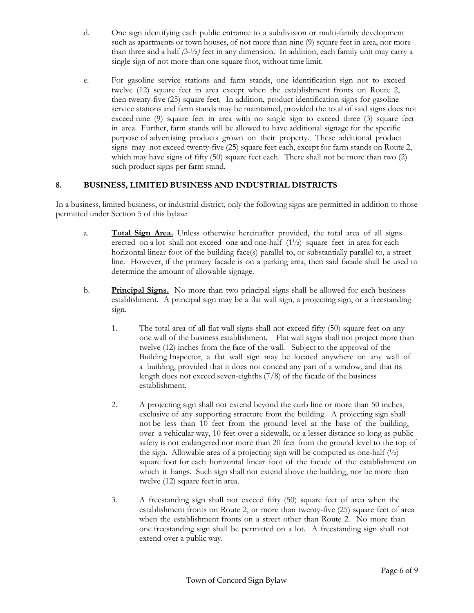- d. One sign identifying each public entrance to a subdivision or multi-family development such as apartments or town houses, of not more than nine (9) square feet in area, nor more than three and a half *(*3-½*)* feet in any dimension. In addition, each family unit may carry a single sign of not more than one square foot, without time limit.
- e. For gasoline service stations and farm stands, one identification sign not to exceed twelve (12) square feet in area except when the establishment fronts on Route 2, then twenty-five (25) square feet. In addition, product identification signs for gasoline service stations and farm stands may be maintained, provided the total of said signs does not exceed nine (9) square feet in area with no single sign to exceed three (3) square feet in area. Further, farm stands will be allowed to have additional signage for the specific purpose of advertising products grown on their property. These additional product signs may not exceed twenty-five (25) square feet each, except for farm stands on Route 2, which may have signs of fifty (50) square feet each. There shall not be more than two (2) such product signs per farm stand.

# **8. BUSINESS, LIMITED BUSINESS AND INDUSTRIAL DISTRICTS**

In a business, limited business, or industrial district, only the following signs are permitted in addition to those permitted under Section 5 of this bylaw:

- a. **Total Sign Area.** Unless otherwise hereinafter provided, the total area of all signs erected on a lot shall not exceed one and one-half (1½) square feet in area for each horizontal linear foot of the building face(s) parallel to, or substantially parallel to, a street line. However, if the primary facade is on a parking area, then said facade shall be used to determine the amount of allowable signage.
- b. **Principal Signs.** No more than two principal signs shall be allowed for each business establishment. A principal sign may be a flat wall sign, a projecting sign, or a freestanding sign.
	- 1. The total area of all flat wall signs shall not exceed fifty (50) square feet on any one wall of the business establishment. Flat wall signs shall not project more than twelve (12) inches from the face of the wall. Subject to the approval of the Building Inspector, a flat wall sign may be located anywhere on any wall of a building, provided that it does not conceal any part of a window, and that its length does not exceed seven-eighths (7/8) of the facade of the business establishment.
	- 2. A projecting sign shall not extend beyond the curb line or more than 50 inches, exclusive of any supporting structure from the building. A projecting sign shall not be less than 10 feet from the ground level at the base of the building, over a vehicular way, 10 feet over a sidewalk, or a lesser distance so long as public safety is not endangered nor more than 20 feet from the ground level to the top of the sign. Allowable area of a projecting sign will be computed as one-half  $(\frac{1}{2})$ square foot for each horizontal linear foot of the facade of the establishment on which it hangs. Such sign shall not extend above the building, nor be more than twelve (12) square feet in area.
	- 3. A freestanding sign shall not exceed fifty (50) square feet of area when the establishment fronts on Route 2, or more than twenty-five (25) square feet of area when the establishment fronts on a street other than Route 2. No more than one freestanding sign shall be permitted on a lot. A freestanding sign shall not extend over a public way.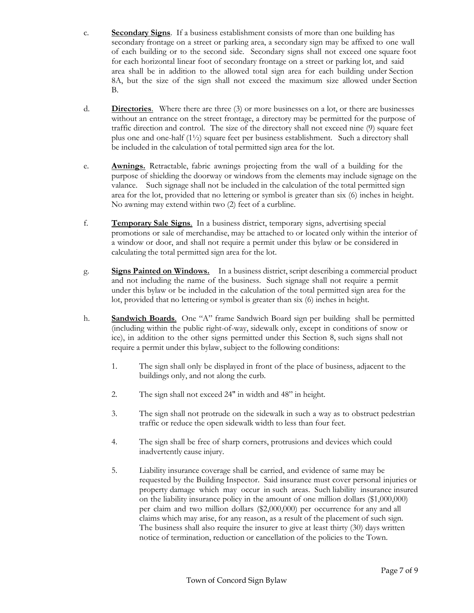- c. **Secondary Signs**. If a business establishment consists of more than one building has secondary frontage on a street or parking area, a secondary sign may be affixed to one wall of each building or to the second side. Secondary signs shall not exceed one square foot for each horizontal linear foot of secondary frontage on a street or parking lot, and said area shall be in addition to the allowed total sign area for each building under Section 8A, but the size of the sign shall not exceed the maximum size allowed under Section B.
- d. **Directories**. Where there are three (3) or more businesses on a lot, or there are businesses without an entrance on the street frontage, a directory may be permitted for the purpose of traffic direction and control. The size of the directory shall not exceed nine (9) square feet plus one and one-half  $(1\frac{1}{2})$  square feet per business establishment. Such a directory shall be included in the calculation of total permitted sign area for the lot.
- e. **Awnings.** Retractable, fabric awnings projecting from the wall of a building for the purpose of shielding the doorway or windows from the elements may include signage on the valance. Such signage shall not be included in the calculation of the total permitted sign area for the lot, provided that no lettering or symbol is greater than six (6) inches in height. No awning may extend within two (2) feet of a curbline.
- f. **Temporary Sale Signs**. In a business district, temporary signs, advertising special promotions or sale of merchandise, may be attached to or located only within the interior of a window or door, and shall not require a permit under this bylaw or be considered in calculating the total permitted sign area for the lot.
- g. **Signs Painted on Windows.** In a business district, script describing a commercial product and not including the name of the business. Such signage shall not require a permit under this bylaw or be included in the calculation of the total permitted sign area for the lot, provided that no lettering or symbol is greater than six (6) inches in height.
- h. **Sandwich Boards**. One "A" frame Sandwich Board sign per building shall be permitted (including within the public right-of-way, sidewalk only, except in conditions of snow or ice), in addition to the other signs permitted under this Section 8, such signs shall not require a permit under this bylaw, subject to the following conditions:
	- 1. The sign shall only be displayed in front of the place of business, adjacent to the buildings only, and not along the curb.
	- 2. The sign shall not exceed 24" in width and 48" in height.
	- 3. The sign shall not protrude on the sidewalk in such a way as to obstruct pedestrian traffic or reduce the open sidewalk width to less than four feet.
	- 4. The sign shall be free of sharp corners, protrusions and devices which could inadvertently cause injury.
	- 5. Liability insurance coverage shall be carried, and evidence of same may be requested by the Building Inspector. Said insurance must cover personal injuries or property damage which may occur in such areas. Such liability insurance insured on the liability insurance policy in the amount of one million dollars (\$1,000,000) per claim and two million dollars (\$2,000,000) per occurrence for any and all claims which may arise, for any reason, as a result of the placement of such sign. The business shall also require the insurer to give at least thirty (30) days written notice of termination, reduction or cancellation of the policies to the Town.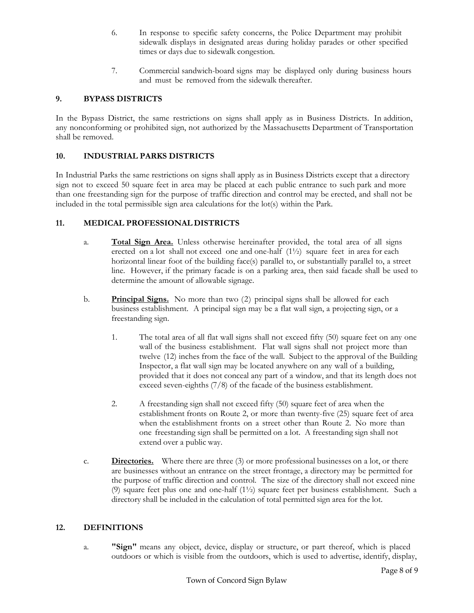- 6. In response to specific safety concerns, the Police Department may prohibit sidewalk displays in designated areas during holiday parades or other specified times or days due to sidewalk congestion.
- 7. Commercial sandwich-board signs may be displayed only during business hours and must be removed from the sidewalk thereafter.

#### **9. BYPASS DISTRICTS**

In the Bypass District, the same restrictions on signs shall apply as in Business Districts. In addition, any nonconforming or prohibited sign, not authorized by the Massachusetts Department of Transportation shall be removed.

#### **10. INDUSTRIAL PARKS DISTRICTS**

In Industrial Parks the same restrictions on signs shall apply as in Business Districts except that a directory sign not to exceed 50 square feet in area may be placed at each public entrance to such park and more than one freestanding sign for the purpose of traffic direction and control may be erected, and shall not be included in the total permissible sign area calculations for the lot(s) within the Park.

#### **11. MEDICAL PROFESSIONAL DISTRICTS**

- a. **Total Sign Area.** Unless otherwise hereinafter provided, the total area of all signs erected on a lot shall not exceed one and one-half (1½) square feet in area for each horizontal linear foot of the building face(s) parallel to, or substantially parallel to, a street line. However, if the primary facade is on a parking area, then said facade shall be used to determine the amount of allowable signage.
- b. **Principal Signs.** No more than two (2) principal signs shall be allowed for each business establishment. A principal sign may be a flat wall sign, a projecting sign, or a freestanding sign.
	- 1. The total area of all flat wall signs shall not exceed fifty (50) square feet on any one wall of the business establishment. Flat wall signs shall not project more than twelve (12) inches from the face of the wall. Subject to the approval of the Building Inspector, a flat wall sign may be located anywhere on any wall of a building, provided that it does not conceal any part of a window, and that its length does not exceed seven-eighths (7/8) of the facade of the business establishment.
	- 2. A freestanding sign shall not exceed fifty (50) square feet of area when the establishment fronts on Route 2, or more than twenty-five (25) square feet of area when the establishment fronts on a street other than Route 2. No more than one freestanding sign shall be permitted on a lot. A freestanding sign shall not extend over a public way.
- c. **Directories.** Where there are three (3) or more professional businesses on a lot, or there are businesses without an entrance on the street frontage, a directory may be permitted for the purpose of traffic direction and control. The size of the directory shall not exceed nine (9) square feet plus one and one-half (1½) square feet per business establishment. Such a directory shall be included in the calculation of total permitted sign area for the lot.

#### **12. DEFINITIONS**

a. **"Sign"** means any object, device, display or structure, or part thereof, which is placed outdoors or which is visible from the outdoors, which is used to advertise, identify, display,